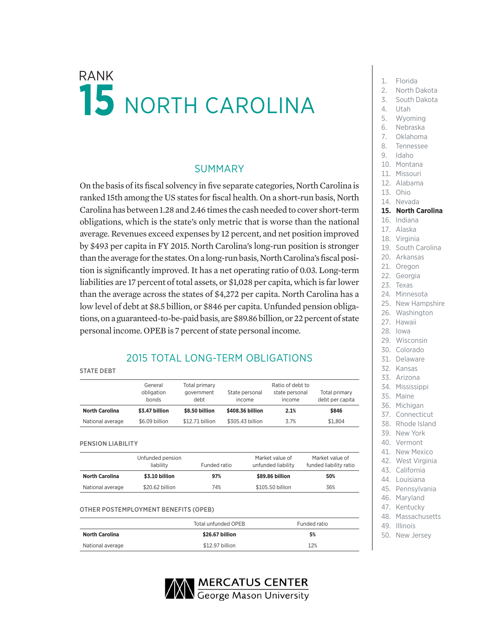# $RANK$  1. Florida NORTH CAROLINA

## SUMMARY

On the basis of its fiscal solvency in five separate categories, North Carolina is ranked 15th among the US states for fiscal health. On a short-run basis, North Carolina has between 1.28 and 2.46 times the cash needed to cover short-term obligations, which is the state's only metric that is worse than the national average. Revenues exceed expenses by 12 percent, and net position improved by \$493 per capita in FY 2015. North Carolina's long-run position is stronger than the average for the states. On a long-run basis, North Carolina's fiscal position is significantly improved. It has a net operating ratio of 0.03. Long-term liabilities are 17 percent of total assets, or \$1,028 per capita, which is far lower than the average across the states of \$4,272 per capita. North Carolina has a low level of debt at \$8.5 billion, or \$846 per capita. Unfunded pension obligations, on a guaranteed-to-be-paid basis, are \$89.86 billion, or 22 percent of state personal income. OPEB is 7 percent of state personal income.

## 2015 TOTAL LONG-TERM OBLIGATIONS

|  | <b>STATE DEBT</b> |  |
|--|-------------------|--|
|  |                   |  |

|                       | General<br>obligation<br>bonds | Total primary<br>government<br>debt | State personal<br>income | Ratio of debt to<br>state personal<br>income | Total primary<br>debt per capita |
|-----------------------|--------------------------------|-------------------------------------|--------------------------|----------------------------------------------|----------------------------------|
| <b>North Carolina</b> | \$3.47 billion                 | \$8.50 billion                      | \$408.36 billion         | 2.1%                                         | \$846                            |
| National average      | \$6.09 billion                 | \$12.71 billion                     | \$305,43 billion         | 3.7%                                         | \$1.804                          |

PENSION LIABILITY

|                       | Unfunded pension<br>liability | Funded ratio | Market value of<br>unfunded liability | Market value of<br>funded liability ratio |
|-----------------------|-------------------------------|--------------|---------------------------------------|-------------------------------------------|
| <b>North Carolina</b> | \$3.10 billion                | 97%          | \$89,86 billion                       | 50%                                       |
| National average      | \$20.62 billion               | 74%          | \$105.50 billion                      | 36%                                       |

#### OTHER POSTEMPLOYMENT BENEFITS (OPEB)

|                       | Total unfunded OPEB | Funded ratio |  |
|-----------------------|---------------------|--------------|--|
| <b>North Carolina</b> | \$26.67 billion     | 5%           |  |
| National average      | \$12.97 billion     | 12%          |  |



- 
- 2. North Dakota
- 3. South Dakota
- 4. Utah
- 
- 5. Wyoming 6. Nebraska
- 
- 7. Oklahoma 8. Tennessee
- 
- 9. Idaho
- 10. Montana
- 11. Missouri
- 12. Alabama
- 13. Ohio

## 14. Nevada

### **15. North Carolina**

- 16. Indiana
- 17. Alaska
- 18. Virginia
- 19. South Carolina
- 20. Arkansas
- 21. Oregon
- 22. Georgia
- 23. Texas
- 24 Minnesota
- 25. New Hampshire
- 26. Washington
- 27. Hawaii
- 28. Iowa
- 29. Wisconsin
- 30. Colorado
- 31. Delaware
- 32. Kansas
- 33. Arizona
- 34. Mississippi
- 35. Maine
- 36. Michigan
- 37. Connecticut
- 38. Rhode Island
- 39. New York
- 40. Vermont
- 41. New Mexico
- 42. West Virginia
- 43. California
- 44. Louisiana
- 45. Pennsylvania
- 46. Maryland
- 47. Kentucky 48. Massachusetts
- 49. Illinois
- 50. New Jersey
- 
- 
- 
- 
-